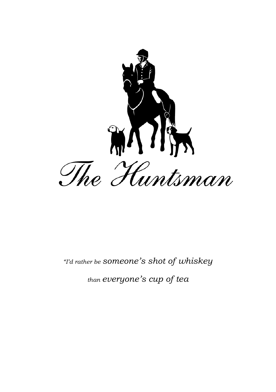

# *"I'd rather be someone's shot of whiskey*

*than everyone's cup of tea*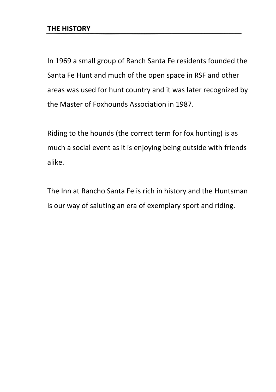In 1969 a small group of Ranch Santa Fe residents founded the Santa Fe Hunt and much of the open space in RSF and other areas was used for hunt country and it was later recognized by the Master of Foxhounds Association in 1987.

Riding to the hounds (the correct term for fox hunting) is as much a social event as it is enjoying being outside with friends alike.

The Inn at Rancho Santa Fe is rich in history and the Huntsman is our way of saluting an era of exemplary sport and riding.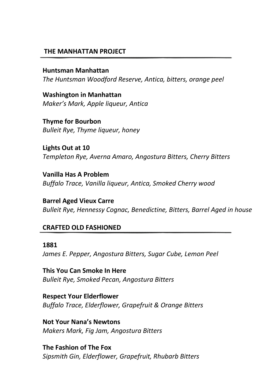#### **THE MANHATTAN PROJECT**

**Huntsman Manhattan**  *The Huntsman Woodford Reserve, Antica, bitters, orange peel*

**Washington in Manhattan** *Maker's Mark, Apple liqueur, Antica*

**Thyme for Bourbon** *Bulleit Rye, Thyme liqueur, honey*

**Lights Out at 10** *Templeton Rye, Averna Amaro, Angostura Bitters, Cherry Bitters*

**Vanilla Has A Problem** *Buffalo Trace, Vanilla liqueur, Antica, Smoked Cherry wood*

**Barrel Aged Vieux Carre** *Bulleit Rye, Hennessy Cognac, Benedictine, Bitters, Barrel Aged in house*

#### **CRAFTED OLD FASHIONED**

#### **1881**

*James E. Pepper, Angostura Bitters, Sugar Cube, Lemon Peel*

**This You Can Smoke In Here** *Bulleit Rye, Smoked Pecan, Angostura Bitters*

**Respect Your Elderflower** *Buffalo Trace, Elderflower, Grapefruit & Orange Bitters*

**Not Your Nana's Newtons** *Makers Mark, Fig Jam, Angostura Bitters*

**The Fashion of The Fox** *Sipsmith Gin, Elderflower, Grapefruit, Rhubarb Bitters*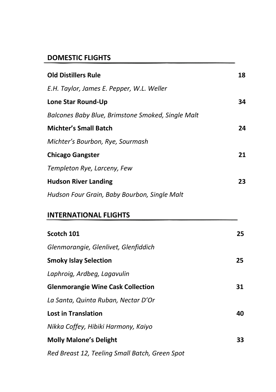#### **DOMESTIC FLIGHTS**

| <b>Old Distillers Rule</b>                        | 18 |
|---------------------------------------------------|----|
| E.H. Taylor, James E. Pepper, W.L. Weller         |    |
| Lone Star Round-Up                                | 34 |
| Balcones Baby Blue, Brimstone Smoked, Single Malt |    |
| <b>Michter's Small Batch</b>                      | 24 |
| Michter's Bourbon, Rye, Sourmash                  |    |
| <b>Chicago Gangster</b>                           | 21 |
| Templeton Rye, Larceny, Few                       |    |
| <b>Hudson River Landing</b>                       | 23 |
| Hudson Four Grain, Baby Bourbon, Single Malt      |    |
| <b>INTERNATIONAL FLIGHTS</b>                      |    |
| Scotch 101                                        | 25 |
| Glenmorangie, Glenlivet, Glenfiddich              |    |
| <b>Smoky Islay Selection</b>                      | 25 |
| Laphroig, Ardbeg, Lagavulin                       |    |

| <b>Lost in Translation</b>                     | 40  |
|------------------------------------------------|-----|
| Nikka Coffey, Hibiki Harmony, Kaiyo            |     |
| <b>Molly Malone's Delight</b>                  | 33. |
| Red Breast 12, Teeling Small Batch, Green Spot |     |

*La Santa, Quinta Ruban, Nectar D'Or* 

**Glenmorangie Wine Cask Collection 31**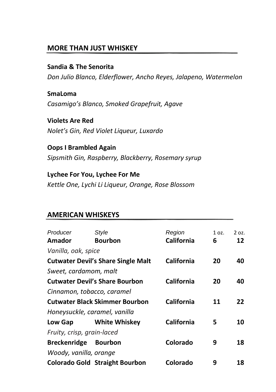#### **MORE THAN JUST WHISKEY**

#### **Sandia & The Senorita**

*Don Julio Blanco, Elderflower, Ancho Reyes, Jalapeno, Watermelon*

**SmaLoma** *Casamigo's Blanco, Smoked Grapefruit, Agave*

**Violets Are Red** *Nolet's Gin, Red Violet Liqueur, Luxardo*

**Oops I Brambled Again** *Sipsmith Gin, Raspberry, Blackberry, Rosemary syrup*

**Lychee For You, Lychee For Me** *Kettle One, Lychi Li Liqueur, Orange, Rose Blossom*

| Producer                   | Style                                     | Region            | 1 oz. | $2$ oz. |
|----------------------------|-------------------------------------------|-------------------|-------|---------|
| Amador                     | <b>Bourbon</b>                            | California        | 6     | 12      |
| Vanilla, oak, spice        |                                           |                   |       |         |
|                            | <b>Cutwater Devil's Share Single Malt</b> | <b>California</b> | 20    | 40      |
| Sweet, cardamom, malt      |                                           |                   |       |         |
|                            | <b>Cutwater Devil's Share Bourbon</b>     | California        | 20    | 40      |
| Cinnamon, tobacco, caramel |                                           |                   |       |         |
|                            | <b>Cutwater Black Skimmer Bourbon</b>     | California        | 11    | 22      |
|                            | Honeysuckle, caramel, vanilla             |                   |       |         |
| Low Gap                    | <b>White Whiskey</b>                      | California        | 5     | 10      |
| Fruity, crisp, grain-laced |                                           |                   |       |         |
| <b>Breckenridge</b>        | <b>Bourbon</b>                            | Colorado          | 9     | 18      |
| Woody, vanilla, orange     |                                           |                   |       |         |
|                            | <b>Colorado Gold Straight Bourbon</b>     | Colorado          | 9     | 18      |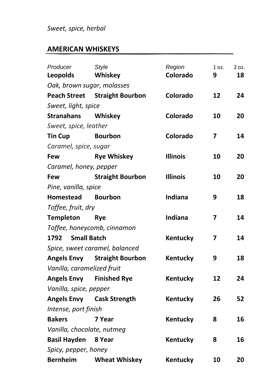## *Sweet, spice, herbal*

| Producer                   | <b>Style</b>                         | Region          | 1 oz. | 2 oz. |
|----------------------------|--------------------------------------|-----------------|-------|-------|
| <b>Leopolds</b>            | Whiskey                              | Colorado        | 9     | 18    |
|                            | Oak, brown sugar, molasses           |                 |       |       |
|                            | <b>Peach Street</b> Straight Bourbon | Colorado        | 12    | 24    |
| Sweet, light, spice        |                                      |                 |       |       |
| <b>Stranahans</b>          | Whiskey                              | Colorado        | 10    | 20    |
| Sweet, spice, leather      |                                      |                 |       |       |
| <b>Tin Cup</b>             | <b>Bourbon</b>                       | Colorado        | 7     | 14    |
| Caramel, spice, sugar      |                                      |                 |       |       |
| Few                        | <b>Rye Whiskey</b>                   | <b>Illinois</b> | 10    | 20    |
| Caramel, honey, pepper     |                                      |                 |       |       |
| Few                        | <b>Straight Bourbon</b>              | <b>Illinois</b> | 10    | 20    |
| Pine, vanilla, spice       |                                      |                 |       |       |
| <b>Homestead</b>           | <b>Bourbon</b>                       | Indiana         | 9     | 18    |
| Toffee, fruit, dry         |                                      |                 |       |       |
| <b>Templeton</b>           | <b>Rye</b>                           | <b>Indiana</b>  | 7     | 14    |
|                            | Toffee, honeycomb, cinnamon          |                 |       |       |
| <b>Small Batch</b><br>1792 |                                      | Kentucky        | 7     | 14    |
|                            | Spice, sweet caramel, balanced       |                 |       |       |
|                            | <b>Angels Envy Straight Bourbon</b>  | Kentucky        | 9     | 18    |
| Vanilla, caramelized fruit |                                      |                 |       |       |
|                            | <b>Angels Envy Finished Rye</b>      | Kentucky        | 12    | 24    |
| Vanilla, spice, pepper     |                                      |                 |       |       |
|                            | Angels Envy Cask Strength            | Kentucky        | 26    | 52    |
| Intense, port finish       |                                      |                 |       |       |
| <b>Bakers</b>              | 7 Year                               | Kentucky        | 8     | 16    |
| Vanilla, chocolate, nutmeg |                                      |                 |       |       |
| <b>Basil Hayden</b> 8 Year |                                      | Kentucky        | 8     | 16    |
| Spicy, pepper, honey       |                                      |                 |       |       |
| <b>Bernheim</b>            | <b>Wheat Whiskey</b>                 | Kentucky        | 10    | 20    |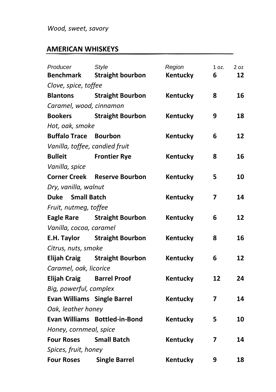| Producer                           | <b>Style</b>                  | Region          | 1 oz. | 2 oz |
|------------------------------------|-------------------------------|-----------------|-------|------|
| <b>Benchmark</b>                   | <b>Straight bourbon</b>       | Kentucky        | 6     | 12   |
| Clove, spice, toffee               |                               |                 |       |      |
| <b>Blantons</b>                    | <b>Straight Bourbon</b>       | Kentucky        | 8     | 16   |
| Caramel, wood, cinnamon            |                               |                 |       |      |
| <b>Bookers</b>                     | <b>Straight Bourbon</b>       | Kentucky        | 9     | 18   |
| Hot, oak, smoke                    |                               |                 |       |      |
| <b>Buffalo Trace Bourbon</b>       |                               | Kentucky        | 6     | 12   |
| Vanilla, toffee, candied fruit     |                               |                 |       |      |
| <b>Bulleit</b>                     | <b>Frontier Rye</b>           | Kentucky        | 8     | 16   |
| Vanilla, spice                     |                               |                 |       |      |
| <b>Corner Creek</b>                | <b>Reserve Bourbon</b>        | Kentucky        | 5     | 10   |
| Dry, vanilla, walnut               |                               |                 |       |      |
| <b>Duke</b> Small Batch            |                               | Kentucky        | 7     | 14   |
| Fruit, nutmeg, toffee              |                               |                 |       |      |
|                                    | Eagle Rare Straight Bourbon   | Kentucky        | 6     | 12   |
| Vanilla, cocoa, caramel            |                               |                 |       |      |
| E.H. Taylor                        | <b>Straight Bourbon</b>       | Kentucky        | 8     | 16   |
| Citrus, nuts, smoke                |                               |                 |       |      |
|                                    | Elijah Craig Straight Bourbon | Kentucky        | 6     | 12   |
| Caramel, oak, licorice             |                               |                 |       |      |
| <b>Elijah Craig</b>                | <b>Barrel Proof</b>           | Kentucky        | 12    | 24   |
| Big, powerful, complex             |                               |                 |       |      |
| <b>Evan Williams Single Barrel</b> |                               | Kentucky        | 7     | 14   |
| Oak, leather honey                 |                               |                 |       |      |
|                                    | Evan Williams Bottled-in-Bond | Kentucky        | 5     | 10   |
| Honey, cornmeal, spice             |                               |                 |       |      |
| <b>Four Roses</b>                  | <b>Small Batch</b>            | <b>Kentucky</b> | 7     | 14   |
| Spices, fruit, honey               |                               |                 |       |      |
| <b>Four Roses</b>                  | <b>Single Barrel</b>          | Kentucky        | 9     | 18   |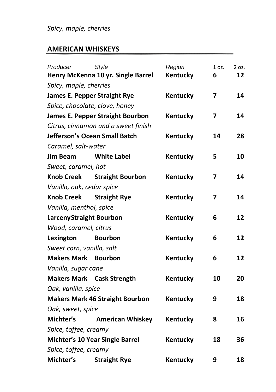# *Spicy, maple, cherries*

| Producer                       | <b>Style</b>                            | Region          | 1 oz. | 2 oz. |
|--------------------------------|-----------------------------------------|-----------------|-------|-------|
|                                | Henry McKenna 10 yr. Single Barrel      | Kentucky        | 6     | 12    |
| Spicy, maple, cherries         |                                         |                 |       |       |
|                                | <b>James E. Pepper Straight Rye</b>     | Kentucky        | 7     | 14    |
|                                | Spice, chocolate, clove, honey          |                 |       |       |
|                                | <b>James E. Pepper Straight Bourbon</b> | Kentucky        | 7     | 14    |
|                                | Citrus, cinnamon and a sweet finish     |                 |       |       |
|                                | Jefferson's Ocean Small Batch           | Kentucky        | 14    | 28    |
| Caramel, salt-water            |                                         |                 |       |       |
| Jim Beam                       | White Label                             | <b>Kentucky</b> | 5     | 10    |
| Sweet, caramel, hot            |                                         |                 |       |       |
| <b>Knob Creek</b>              | <b>Straight Bourbon</b>                 | Kentucky        | 7     | 14    |
| Vanilla, oak, cedar spice      |                                         |                 |       |       |
| <b>Knob Creek</b>              | <b>Straight Rye</b>                     | <b>Kentucky</b> | 7     | 14    |
| Vanilla, menthol, spice        |                                         |                 |       |       |
| <b>LarcenyStraight Bourbon</b> |                                         | Kentucky        | 6     | 12    |
| Wood, caramel, citrus          |                                         |                 |       |       |
| Lexington                      | <b>Bourbon</b>                          | Kentucky        | 6     | 12    |
| Sweet corn, vanilla, salt      |                                         |                 |       |       |
| <b>Makers Mark Bourbon</b>     |                                         | Kentucky        | 6     | 12    |
| Vanilla, sugar cane            |                                         |                 |       |       |
|                                | <b>Makers Mark Cask Strength</b>        | Kentucky        | 10    | 20    |
| Oak, vanilla, spice            |                                         |                 |       |       |
|                                | <b>Makers Mark 46 Straight Bourbon</b>  | Kentucky        | 9     | 18    |
| Oak, sweet, spice              |                                         |                 |       |       |
| Michter's                      | <b>American Whiskey</b>                 | Kentucky        | 8     | 16    |
| Spice, toffee, creamy          |                                         |                 |       |       |
|                                | Michter's 10 Year Single Barrel         | Kentucky        | 18    | 36    |
| Spice, toffee, creamy          |                                         |                 |       |       |
| Michter's                      | <b>Straight Rye</b>                     | Kentucky        | 9     | 18    |
|                                |                                         |                 |       |       |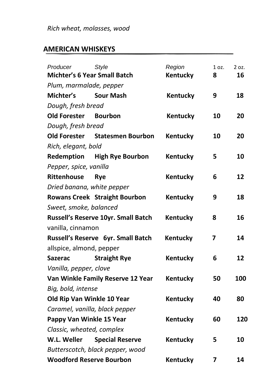| Producer                   | <b>Style</b>                         | Region          | 1 oz. | 2 oz. |
|----------------------------|--------------------------------------|-----------------|-------|-------|
|                            | <b>Michter's 6 Year Small Batch</b>  | <b>Kentucky</b> | 8     | 16    |
| Plum, marmalade, pepper    |                                      |                 |       |       |
| Michter's                  | <b>Sour Mash</b>                     | Kentucky        | 9     | 18    |
| Dough, fresh bread         |                                      |                 |       |       |
| <b>Old Forester</b>        | <b>Bourbon</b>                       | Kentucky        | 10    | 20    |
| Dough, fresh bread         |                                      |                 |       |       |
| <b>Old Forester</b>        | <b>Statesmen Bourbon</b>             | Kentucky        | 10    | 20    |
| Rich, elegant, bold        |                                      |                 |       |       |
| Redemption                 | <b>High Rye Bourbon</b>              | Kentucky        | 5     | 10    |
| Pepper, spice, vanilla     |                                      |                 |       |       |
| Rittenhouse                | <b>R</b> ve                          | Kentucky        | 6     | 12    |
| Dried banana, white pepper |                                      |                 |       |       |
|                            | <b>Rowans Creek Straight Bourbon</b> | Kentucky        | 9     | 18    |
| Sweet, smoke, balanced     |                                      |                 |       |       |
|                            | Russell's Reserve 10yr. Small Batch  | Kentucky        | 8     | 16    |
| vanilla, cinnamon          |                                      |                 |       |       |
|                            | Russell's Reserve 6yr. Small Batch   | Kentucky        | 7     | 14    |
| allspice, almond, pepper   |                                      |                 |       |       |
| <b>Sazerac</b>             | <b>Straight Rye</b>                  | Kentucky        | 6     | 12    |
| Vanilla, pepper, clove     |                                      |                 |       |       |
|                            | Van Winkle Family Reserve 12 Year    | Kentucky        | 50    | 100   |
| Big, bold, intense         |                                      |                 |       |       |
| Old Rip Van Winkle 10 Year |                                      | Kentucky        | 40    | 80    |
|                            | Caramel, vanilla, black pepper       |                 |       |       |
| Pappy Van Winkle 15 Year   |                                      | Kentucky        | 60    | 120   |
| Classic, wheated, complex  |                                      |                 |       |       |
| W.L. Weller                | <b>Special Reserve</b>               | Kentucky        | 5     | 10    |
|                            | Butterscotch, black pepper, wood     |                 |       |       |
|                            | <b>Woodford Reserve Bourbon</b>      | Kentucky        | 7     | 14    |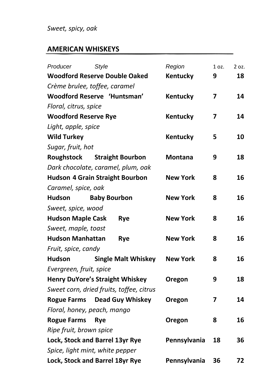## *Sweet, spicy, oak*

| Producer                    | <b>Style</b>                             | Region          | 1 oz. | 2 oz. |
|-----------------------------|------------------------------------------|-----------------|-------|-------|
|                             | <b>Woodford Reserve Double Oaked</b>     | Kentucky        | 9     | 18    |
|                             | Crème brulee, toffee, caramel            |                 |       |       |
|                             | Woodford Reserve 'Huntsman'              | Kentucky        | 7     | 14    |
| Floral, citrus, spice       |                                          |                 |       |       |
| <b>Woodford Reserve Rye</b> |                                          | Kentucky        | 7     | 14    |
| Light, apple, spice         |                                          |                 |       |       |
| <b>Wild Turkey</b>          |                                          | Kentucky        | 5     | 10    |
| Sugar, fruit, hot           |                                          |                 |       |       |
| Roughstock                  | <b>Straight Bourbon</b>                  | <b>Montana</b>  | 9     | 18    |
|                             | Dark chocolate, caramel, plum, oak       |                 |       |       |
|                             | <b>Hudson 4 Grain Straight Bourbon</b>   | <b>New York</b> | 8     | 16    |
| Caramel, spice, oak         |                                          |                 |       |       |
| <b>Hudson</b>               | <b>Baby Bourbon</b>                      | <b>New York</b> | 8     | 16    |
| Sweet, spice, wood          |                                          |                 |       |       |
| <b>Hudson Maple Cask</b>    | Rye                                      | <b>New York</b> | 8     | 16    |
| Sweet, maple, toast         |                                          |                 |       |       |
| <b>Hudson Manhattan</b>     | <b>Rye</b>                               | <b>New York</b> | 8     | 16    |
| Fruit, spice, candy         |                                          |                 |       |       |
| <b>Hudson</b>               | <b>Single Malt Whiskey</b>               | <b>New York</b> | 8     | 16    |
| Evergreen, fruit, spice     |                                          |                 |       |       |
|                             | <b>Henry DuYore's Straight Whiskey</b>   | Oregon          | 9     | 18    |
|                             | Sweet corn, dried fruits, toffee, citrus |                 |       |       |
|                             | Rogue Farms Dead Guy Whiskey             | Oregon          | 7     | 14    |
|                             | Floral, honey, peach, mango              |                 |       |       |
| <b>Rogue Farms</b>          | <b>Rye</b>                               | Oregon          | 8     | 16    |
| Ripe fruit, brown spice     |                                          |                 |       |       |
|                             | Lock, Stock and Barrel 13yr Rye          | Pennsylvania    | 18    | 36    |
|                             | Spice, light mint, white pepper          |                 |       |       |
|                             | Lock, Stock and Barrel 18yr Rye          | Pennsylvania    | 36    | 72    |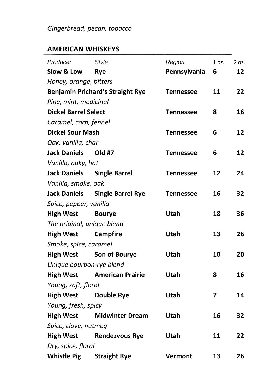| Producer                    | <b>Style</b>                            | Region           | 1 oz. | 2 oz. |
|-----------------------------|-----------------------------------------|------------------|-------|-------|
| Slow & Low                  | <b>Rye</b>                              | Pennsylvania     | 6     | 12    |
| Honey, orange, bitters      |                                         |                  |       |       |
|                             | <b>Benjamin Prichard's Straight Rye</b> | Tennessee        | 11    | 22    |
| Pine, mint, medicinal       |                                         |                  |       |       |
| <b>Dickel Barrel Select</b> |                                         | <b>Tennessee</b> | 8     | 16    |
| Caramel, corn, fennel       |                                         |                  |       |       |
| <b>Dickel Sour Mash</b>     |                                         | Tennessee        | 6     | 12    |
| Oak, vanilla, char          |                                         |                  |       |       |
| <b>Jack Daniels</b>         | Old #7                                  | <b>Tennessee</b> | 6     | 12    |
| Vanilla, oaky, hot          |                                         |                  |       |       |
| <b>Jack Daniels</b>         | <b>Single Barrel</b>                    | Tennessee        | 12    | 24    |
| Vanilla, smoke, oak         |                                         |                  |       |       |
| <b>Jack Daniels</b>         | <b>Single Barrel Rye</b>                | <b>Tennessee</b> | 16    | 32    |
| Spice, pepper, vanilla      |                                         |                  |       |       |
| <b>High West</b>            | <b>Bourye</b>                           | Utah             | 18    | 36    |
| The original, unique blend  |                                         |                  |       |       |
| <b>High West</b>            | <b>Campfire</b>                         | Utah             | 13    | 26    |
| Smoke, spice, caramel       |                                         |                  |       |       |
| <b>High West</b>            | <b>Son of Bourye</b>                    | Utah             | 10    | 20    |
| Unique bourbon-rye blend    |                                         |                  |       |       |
| <b>High West</b>            | <b>American Prairie</b>                 | <b>Utah</b>      | 8     | 16    |
| Young, soft, floral         |                                         |                  |       |       |
| <b>High West</b>            | <b>Double Rye</b>                       | Utah             | 7     | 14    |
| Young, fresh, spicy         |                                         |                  |       |       |
| <b>High West</b>            | <b>Midwinter Dream</b>                  | Utah             | 16    | 32    |
| Spice, clove, nutmeg        |                                         |                  |       |       |
| <b>High West</b>            | <b>Rendezvous Rye</b>                   | Utah             | 11    | 22    |
| Dry, spice, floral          |                                         |                  |       |       |
|                             | Whistle Pig Straight Rye                | Vermont          | 13    | 26    |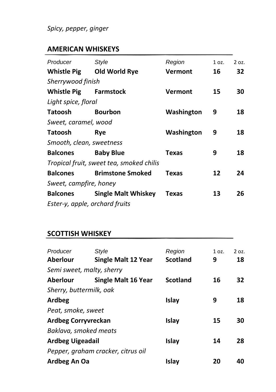## *Spicy, pepper, ginger*

# **AMERICAN WHISKEYS**

| Producer                       | Style                                    | Region         | 1 oz. | 2 oz. |
|--------------------------------|------------------------------------------|----------------|-------|-------|
| <b>Whistle Pig</b>             | Old World Rye                            | <b>Vermont</b> | 16    | 32    |
| Sherrywood finish              |                                          |                |       |       |
| <b>Whistle Pig</b>             | <b>Farmstock</b>                         | Vermont        | 15    | 30    |
| Light spice, floral            |                                          |                |       |       |
| <b>Tatoosh</b>                 | <b>Bourbon</b>                           | Washington     | 9     | 18    |
| Sweet, caramel, wood           |                                          |                |       |       |
| Tatoosh                        | Rve                                      | Washington     | 9     | 18    |
| Smooth, clean, sweetness       |                                          |                |       |       |
| <b>Balcones</b>                | <b>Baby Blue</b>                         | <b>Texas</b>   | 9     | 18    |
|                                | Tropical fruit, sweet tea, smoked chilis |                |       |       |
| <b>Balcones</b>                | <b>Brimstone Smoked</b>                  | <b>Texas</b>   | 12    | 24    |
| Sweet, campfire, honey         |                                          |                |       |       |
| <b>Balcones</b>                | <b>Single Malt Whiskey</b>               | <b>Texas</b>   | 13    | 26    |
| Ester-y, apple, orchard fruits |                                          |                |       |       |

| Producer<br><b>Aberlour</b> | Style<br><b>Single Malt 12 Year</b> | Region<br><b>Scotland</b> | 1 oz.<br>9 | $2$ oz.<br>18 |
|-----------------------------|-------------------------------------|---------------------------|------------|---------------|
| Semi sweet, malty, sherry   |                                     |                           |            |               |
| <b>Aberlour</b>             | <b>Single Malt 16 Year</b>          | <b>Scotland</b>           | 16         | 32            |
| Sherry, buttermilk, oak     |                                     |                           |            |               |
| Ardbeg                      |                                     | Islay                     | 9          | 18            |
| Peat, smoke, sweet          |                                     |                           |            |               |
| <b>Ardbeg Corryvreckan</b>  |                                     | <b>Islay</b>              | 15         | 30            |
| Baklava, smoked meats       |                                     |                           |            |               |
| <b>Ardbeg Uigeadail</b>     |                                     | Islay                     | 14         | 28            |
|                             | Pepper, graham cracker, citrus oil  |                           |            |               |
| Ardbeg An Oa                |                                     | Islay                     | 20         | 40            |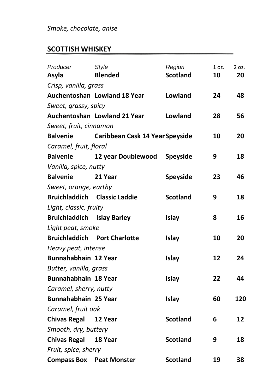| Producer                            | <b>Style</b>                    | Region          | 1 oz. | 2 oz. |
|-------------------------------------|---------------------------------|-----------------|-------|-------|
| Asyla                               | <b>Blended</b>                  | <b>Scotland</b> | 10    | 20    |
| Crisp, vanilla, grass               |                                 |                 |       |       |
|                                     | Auchentoshan Lowland 18 Year    | Lowland         | 24    | 48    |
| Sweet, grassy, spicy                |                                 |                 |       |       |
|                                     | Auchentoshan Lowland 21 Year    | Lowland         | 28    | 56    |
| Sweet, fruit, cinnamon              |                                 |                 |       |       |
| <b>Balvenie</b>                     | Caribbean Cask 14 Year Speyside |                 | 10    | 20    |
| Caramel, fruit, floral              |                                 |                 |       |       |
| <b>Balvenie</b>                     | 12 year Doublewood              | <b>Speyside</b> | 9     | 18    |
| Vanilla, spice, nutty               |                                 |                 |       |       |
| <b>Balvenie</b>                     | 21 Year                         | Speyside        | 23    | 46    |
| Sweet, orange, earthy               |                                 |                 |       |       |
| <b>Bruichladdich Classic Laddie</b> |                                 | <b>Scotland</b> | 9     | 18    |
| Light, classic, fruity              |                                 |                 |       |       |
| <b>Bruichladdich Islay Barley</b>   |                                 | <b>Islay</b>    | 8     | 16    |
| Light peat, smoke                   |                                 |                 |       |       |
| <b>Bruichladdich</b>                | <b>Port Charlotte</b>           | Islay           | 10    | 20    |
| Heavy peat, intense                 |                                 |                 |       |       |
| Bunnahabhain 12 Year                |                                 | <b>Islay</b>    | 12    | 24    |
| Butter, vanilla, grass              |                                 |                 |       |       |
| Bunnahabhain 18 Year                |                                 | Islay           | 22    | 44    |
| Caramel, sherry, nutty              |                                 |                 |       |       |
| Bunnahabhain 25 Year                |                                 | Islay           | 60    | 120   |
| Caramel, fruit oak                  |                                 |                 |       |       |
| <b>Chivas Regal</b>                 | 12 Year                         | <b>Scotland</b> | 6     | 12    |
| Smooth, dry, buttery                |                                 |                 |       |       |
| <b>Chivas Regal</b>                 | 18 Year                         | <b>Scotland</b> | 9     | 18    |
| Fruit, spice, sherry                |                                 |                 |       |       |
| <b>Compass Box Peat Monster</b>     |                                 | <b>Scotland</b> | 19    | 38    |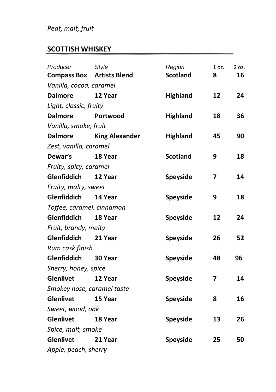# *Peat, malt, fruit*

| Producer                   | <b>Style</b>          | Region          | 1 oz. | 2 oz. |
|----------------------------|-----------------------|-----------------|-------|-------|
| <b>Compass Box</b>         | <b>Artists Blend</b>  | <b>Scotland</b> | 8     | 16    |
| Vanilla, cocoa, caramel    |                       |                 |       |       |
| <b>Dalmore</b>             | 12 Year               | <b>Highland</b> | 12    | 24    |
| Light, classic, fruity     |                       |                 |       |       |
| <b>Dalmore</b>             | Portwood              | <b>Highland</b> | 18    | 36    |
| Vanilla, smoke, fruit      |                       |                 |       |       |
| <b>Dalmore</b>             | <b>King Alexander</b> | <b>Highland</b> | 45    | 90    |
| Zest, vanilla, caramel     |                       |                 |       |       |
| Dewar's                    | 18 Year               | <b>Scotland</b> | 9     | 18    |
| Fruity, spicy, caramel     |                       |                 |       |       |
| Glenfiddich                | 12 Year               | Speyside        | 7     | 14    |
| Fruity, malty, sweet       |                       |                 |       |       |
| Glenfiddich                | 14 Year               | Speyside        | 9     | 18    |
| Toffee, caramel, cinnamon  |                       |                 |       |       |
| Glenfiddich                | 18 Year               | Speyside        | 12    | 24    |
| Fruit, brandy, malty       |                       |                 |       |       |
| <b>Glenfiddich</b>         | 21 Year               | Speyside        | 26    | 52    |
| Rum cask finish            |                       |                 |       |       |
| Glenfiddich                | <b>30 Year</b>        | Speyside        | 48    | 96    |
| Sherry, honey, spice       |                       |                 |       |       |
| <b>Glenlivet</b>           | 12 Year               | Speyside        | 7     | 14    |
| Smokey nose, caramel taste |                       |                 |       |       |
| Glenlivet                  | 15 Year               | Speyside        | 8     | 16    |
| Sweet, wood, oak           |                       |                 |       |       |
| <b>Glenlivet</b>           | 18 Year               | Speyside        | 13    | 26    |
| Spice, malt, smoke         |                       |                 |       |       |
| <b>Glenlivet</b>           | 21 Year               | Speyside        | 25    | 50    |
| Apple, peach, sherry       |                       |                 |       |       |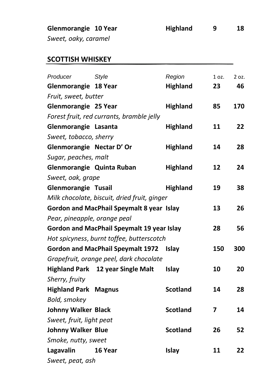| Glenmorangie 10 Year | <b>Highland</b> | 18 |
|----------------------|-----------------|----|
| Sweet, oaky, caramel |                 |    |

| Producer                     | <b>Style</b>                                 | Region          | 1 oz. | 2 oz. |
|------------------------------|----------------------------------------------|-----------------|-------|-------|
| Glenmorangie 18 Year         |                                              | <b>Highland</b> | 23    | 46    |
| Fruit, sweet, butter         |                                              |                 |       |       |
| Glenmorangie 25 Year         |                                              | <b>Highland</b> | 85    | 170   |
|                              | Forest fruit, red currants, bramble jelly    |                 |       |       |
| Glenmorangie Lasanta         |                                              | <b>Highland</b> | 11    | 22    |
| Sweet, tobacco, sherry       |                                              |                 |       |       |
| Glenmorangie Nectar D' Or    |                                              | <b>Highland</b> | 14    | 28    |
| Sugar, peaches, malt         |                                              |                 |       |       |
| Glenmorangie Quinta Ruban    |                                              | <b>Highland</b> | 12    | 24    |
| Sweet, oak, grape            |                                              |                 |       |       |
| <b>Glenmorangie Tusail</b>   |                                              | <b>Highland</b> | 19    | 38    |
|                              | Milk chocolate, biscuit, dried fruit, ginger |                 |       |       |
|                              | Gordon and MacPhail Speymalt 8 year Islay    |                 | 13    | 26    |
| Pear, pineapple, orange peal |                                              |                 |       |       |
|                              | Gordon and MacPhail Speymalt 19 year Islay   |                 | 28    | 56    |
|                              | Hot spicyness, burnt toffee, butterscotch    |                 |       |       |
|                              | <b>Gordon and MacPhail Speymalt 1972</b>     | <b>Islay</b>    | 150   | 300   |
|                              | Grapefruit, orange peel, dark chocolate      |                 |       |       |
|                              | Highland Park 12 year Single Malt            | Islay           | 10    | 20    |
| Sherry, fruity               |                                              |                 |       |       |
| <b>Highland Park Magnus</b>  |                                              | <b>Scotland</b> | 14    | 28    |
| Bold, smokey                 |                                              |                 |       |       |
| <b>Johnny Walker Black</b>   |                                              | <b>Scotland</b> | 7     | 14    |
| Sweet, fruit, light peat     |                                              |                 |       |       |
| <b>Johnny Walker Blue</b>    |                                              | <b>Scotland</b> | 26    | 52    |
| Smoke, nutty, sweet          |                                              |                 |       |       |
| Lagavalin                    | 16 Year                                      | Islay           | 11    | 22    |
| Sweet, peat, ash             |                                              |                 |       |       |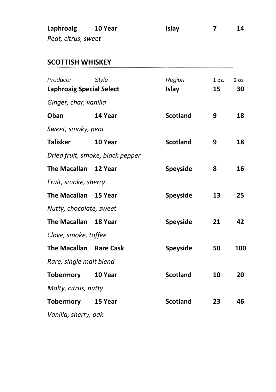| Laphroaig           | 10 Year | <b>Islav</b> | 14 |
|---------------------|---------|--------------|----|
| Peat, citrus, sweet |         |              |    |

| Producer<br><b>Laphroaig Special Select</b> | Style                            | Region<br>Islay | 1 oz.<br>15 | 2 oz<br>30 |
|---------------------------------------------|----------------------------------|-----------------|-------------|------------|
| Ginger, char, vanilla                       |                                  |                 |             |            |
| Oban                                        | 14 Year                          | <b>Scotland</b> | 9           | 18         |
| Sweet, smoky, peat                          |                                  |                 |             |            |
| <b>Talisker</b>                             | 10 Year                          | <b>Scotland</b> | 9           | 18         |
|                                             | Dried fruit, smoke, black pepper |                 |             |            |
| <b>The Macallan</b>                         | 12 Year                          | <b>Speyside</b> | 8           | 16         |
| Fruit, smoke, sherry                        |                                  |                 |             |            |
| <b>The Macallan</b>                         | 15 Year                          | Speyside        | 13          | 25         |
| Nutty, chocolate, sweet                     |                                  |                 |             |            |
| <b>The Macallan</b>                         | 18 Year                          | Speyside        | 21          | 42         |
| Clove, smoke, toffee                        |                                  |                 |             |            |
| <b>The Macallan</b>                         | <b>Rare Cask</b>                 | Speyside        | 50          | 100        |
| Rare, single malt blend                     |                                  |                 |             |            |
| <b>Tobermory</b>                            | 10 Year                          | <b>Scotland</b> | 10          | 20         |
| Malty, citrus, nutty                        |                                  |                 |             |            |
| <b>Tobermory</b>                            | 15 Year                          | <b>Scotland</b> | 23          | 46         |
| Vanilla, sherry, oak                        |                                  |                 |             |            |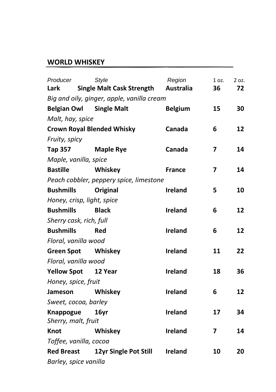#### **WORLD WHISKEY**

| Producer                | <b>Style</b>                               | Region           | 1 oz. | 2 oz. |
|-------------------------|--------------------------------------------|------------------|-------|-------|
| Lark                    | <b>Single Malt Cask Strength</b>           | <b>Australia</b> | 36    | 72    |
|                         | Big and oily, ginger, apple, vanilla cream |                  |       |       |
| <b>Belgian Owl</b>      | <b>Single Malt</b>                         | <b>Belgium</b>   | 15    | 30    |
| Malt, hay, spice        |                                            |                  |       |       |
|                         | <b>Crown Royal Blended Whisky</b>          | Canada           | 6     | 12    |
| Fruity, spicy           |                                            |                  |       |       |
| <b>Tap 357</b>          | <b>Maple Rye</b>                           | Canada           | 7     | 14    |
| Maple, vanilla, spice   |                                            |                  |       |       |
| <b>Bastille</b>         | Whiskey                                    | <b>France</b>    | 7     | 14    |
|                         | Peach cobbler, peppery spice, limestone    |                  |       |       |
| <b>Bushmills</b>        | Original                                   | <b>Ireland</b>   | 5     | 10    |
|                         | Honey, crisp, light, spice                 |                  |       |       |
| <b>Bushmills</b>        | <b>Black</b>                               | <b>Ireland</b>   | 6     | 12    |
| Sherry cask, rich, full |                                            |                  |       |       |
| <b>Bushmills</b>        | Red                                        | <b>Ireland</b>   | 6     | 12    |
| Floral, vanilla wood    |                                            |                  |       |       |
| <b>Green Spot</b>       | Whiskey                                    | Ireland          | 11    | 22    |
| Floral, vanilla wood    |                                            |                  |       |       |
| <b>Yellow Spot</b>      | 12 Year                                    | <b>Ireland</b>   | 18    | 36    |
| Honey, spice, fruit     |                                            |                  |       |       |
| Jameson                 | Whiskey                                    | Ireland          | 6     | 12    |
| Sweet, cocoa, barley    |                                            |                  |       |       |
| Knappogue               | 16yr                                       | <b>Ireland</b>   | 17    | 34    |
| Sherry, malt, fruit     |                                            |                  |       |       |
| <b>Knot</b>             | Whiskey                                    | Ireland          | 7     | 14    |
| Toffee, vanilla, cocoa  |                                            |                  |       |       |
| <b>Red Breast</b>       | 12yr Single Pot Still                      | Ireland          | 10    | 20    |
| Barley, spice vanilla   |                                            |                  |       |       |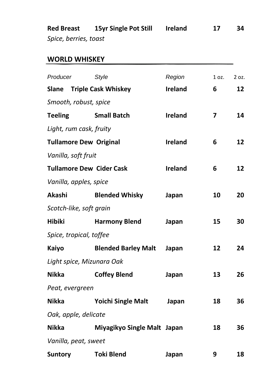**Red Breast 15yr Single Pot Still Ireland 17 34** *Spice, berries, toast*

### **WORLD WHISKEY**

| Producer       |                               | <b>Style</b>                     | Region         | 1 oz.                   | 2 oz. |
|----------------|-------------------------------|----------------------------------|----------------|-------------------------|-------|
|                |                               | <b>Slane</b> Triple Cask Whiskey | Ireland        | 6                       | 12    |
|                | Smooth, robust, spice         |                                  |                |                         |       |
| <b>Teeling</b> |                               | <b>Small Batch</b>               | <b>Ireland</b> | $\overline{\mathbf{z}}$ | 14    |
|                | Light, rum cask, fruity       |                                  |                |                         |       |
|                | <b>Tullamore Dew Original</b> |                                  | <b>Ireland</b> | 6                       | 12    |
|                | Vanilla, soft fruit           |                                  |                |                         |       |
|                |                               | <b>Tullamore Dew Cider Cask</b>  | <b>Ireland</b> | 6                       | 12    |
|                | Vanilla, apples, spice        |                                  |                |                         |       |
| Akashi         |                               | <b>Blended Whisky</b>            | Japan          | 10                      | 20    |
|                | Scotch-like, soft grain       |                                  |                |                         |       |
| <b>Hibiki</b>  |                               | <b>Harmony Blend</b>             | Japan          | 15                      | 30    |
|                | Spice, tropical, toffee       |                                  |                |                         |       |
| Kaiyo          |                               | <b>Blended Barley Malt</b>       | Japan          | 12                      | 24    |
|                |                               | Light spice, Mizunara Oak        |                |                         |       |
| Nikka          |                               | <b>Coffey Blend</b>              | Japan          | 13                      | 26    |
|                | Peat, evergreen               |                                  |                |                         |       |
| Nikka          |                               | <b>Yoichi Single Malt</b>        | Japan          | 18                      | 36    |
|                | Oak, apple, delicate          |                                  |                |                         |       |
| <b>Nikka</b>   |                               | Miyagikyo Single Malt Japan      |                | 18                      | 36    |
|                | Vanilla, peat, sweet          |                                  |                |                         |       |
| <b>Suntory</b> |                               | <b>Toki Blend</b>                | Japan          | 9                       | 18    |